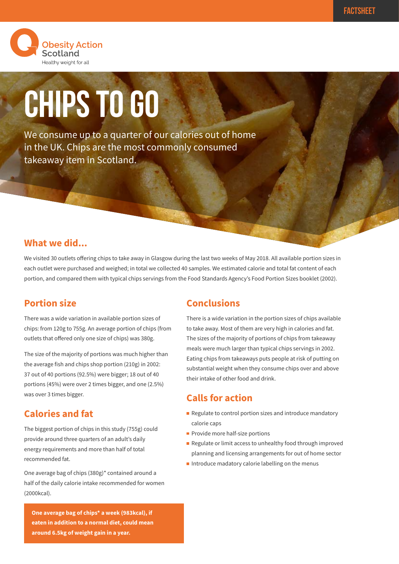

# **CHIPS TO GO**

We consume up to a quarter of our calories out of home in the UK. Chips are the most commonly consumed takeaway item in Scotland.

#### **What we did...**

We visited 30 outlets offering chips to take away in Glasgow during the last two weeks of May 2018. All available portion sizes in each outlet were purchased and weighed; in total we collected 40 samples. We estimated calorie and total fat content of each portion, and compared them with typical chips servings from the Food Standards Agency's Food Portion Sizes booklet (2002).

#### **Portion size**

There was a wide variation in available portion sizes of chips: from 120g to 755g. An average portion of chips (from outlets that offered only one size of chips) was 380g.

The size of the majority of portions was much higher than the average fish and chips shop portion (210g) in 2002: 37 out of 40 portions (92.5%) were bigger; 18 out of 40 portions (45%) were over 2 times bigger, and one (2.5%) was over 3 times bigger.

## **Calories and fat**

The biggest portion of chips in this study (755g) could provide around three quarters of an adult's daily energy requirements and more than half of total recommended fat.

One average bag of chips (380g)\* contained around a half of the daily calorie intake recommended for women (2000kcal).

**One average bag of chips\* a week (983kcal), if eaten in addition to a normal diet, could mean around 6.5kg of weight gain in a year.**

## **Conclusions**

There is a wide variation in the portion sizes of chips available to take away. Most of them are very high in calories and fat. The sizes of the majority of portions of chips from takeaway meals were much larger than typical chips servings in 2002. Eating chips from takeaways puts people at risk of putting on substantial weight when they consume chips over and above their intake of other food and drink.

## **Calls for action**

- $\blacksquare$  Regulate to control portion sizes and introduce mandatory calorie caps
- Provide more half-size portions
- Regulate or limit access to unhealthy food through improved planning and licensing arrangements for out of home sector
- $\blacksquare$  Introduce madatory calorie labelling on the menus